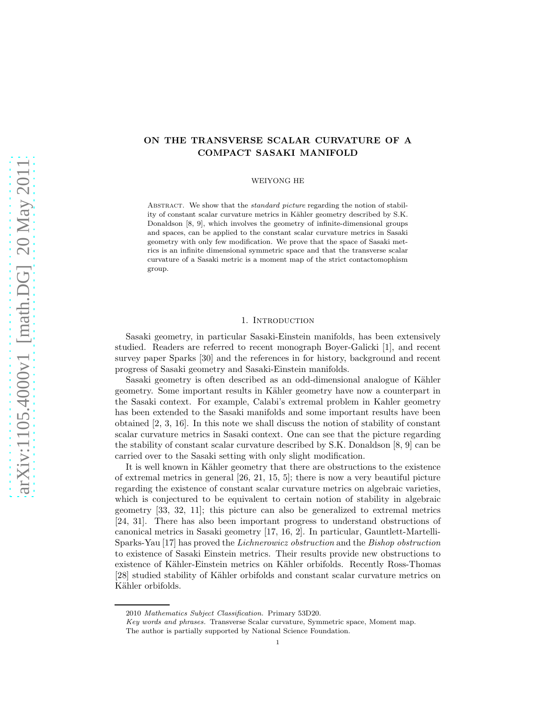# ON THE TRANSVERSE SCALAR CURVATURE OF A COMPACT SASAKI MANIFOLD

#### WEIYONG HE

ABSTRACT. We show that the *standard picture* regarding the notion of stability of constant scalar curvature metrics in Kähler geometry described by S.K. Donaldson [8, 9], which involves the geometry of infinite-dimensional groups and spaces, can be applied to the constant scalar curvature metrics in Sasaki geometry with only few modification. We prove that the space of Sasaki metrics is an infinite dimensional symmetric space and that the transverse scalar curvature of a Sasaki metric is a moment map of the strict contactomophism group.

### 1. Introduction

Sasaki geometry, in particular Sasaki-Einstein manifolds, has been extensively studied. Readers are referred to recent monograph Boyer-Galicki [1], and recent survey paper Sparks [30] and the references in for history, background and recent progress of Sasaki geometry and Sasaki-Einstein manifolds.

Sasaki geometry is often described as an odd-dimensional analogue of Kähler geometry. Some important results in Kähler geometry have now a counterpart in the Sasaki context. For example, Calabi's extremal problem in Kahler geometry has been extended to the Sasaki manifolds and some important results have been obtained [2, 3, 16]. In this note we shall discuss the notion of stability of constant scalar curvature metrics in Sasaki context. One can see that the picture regarding the stability of constant scalar curvature described by S.K. Donaldson [8, 9] can be carried over to the Sasaki setting with only slight modification.

It is well known in Kähler geometry that there are obstructions to the existence of extremal metrics in general [26, 21, 15, 5]; there is now a very beautiful picture regarding the existence of constant scalar curvature metrics on algebraic varieties, which is conjectured to be equivalent to certain notion of stability in algebraic geometry [33, 32, 11]; this picture can also be generalized to extremal metrics [24, 31]. There has also been important progress to understand obstructions of canonical metrics in Sasaki geometry [17, 16, 2]. In particular, Gauntlett-Martelli-Sparks-Yau [17] has proved the *Lichnerowicz obstruction* and the *Bishop obstruction* to existence of Sasaki Einstein metrics. Their results provide new obstructions to existence of Kähler-Einstein metrics on Kähler orbifolds. Recently Ross-Thomas [28] studied stability of Kähler orbifolds and constant scalar curvature metrics on Kähler orbifolds.

<sup>2010</sup> Mathematics Subject Classification. Primary 53D20.

Key words and phrases. Transverse Scalar curvature, Symmetric space, Moment map. The author is partially supported by National Science Foundation.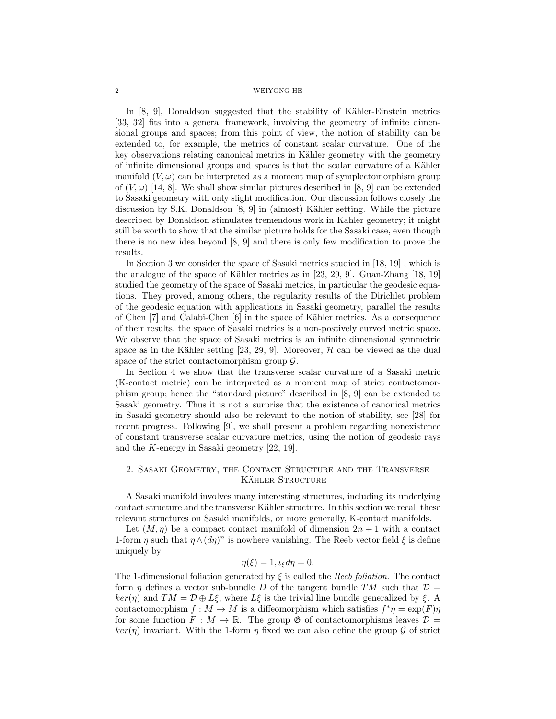In  $[8, 9]$ , Donaldson suggested that the stability of Kähler-Einstein metrics [33, 32] fits into a general framework, involving the geometry of infinite dimensional groups and spaces; from this point of view, the notion of stability can be extended to, for example, the metrics of constant scalar curvature. One of the key observations relating canonical metrics in Kähler geometry with the geometry of infinite dimensional groups and spaces is that the scalar curvature of a Kähler manifold  $(V, \omega)$  can be interpreted as a moment map of symplectomorphism group of  $(V, \omega)$  [14, 8]. We shall show similar pictures described in [8, 9] can be extended to Sasaki geometry with only slight modification. Our discussion follows closely the discussion by S.K. Donaldson  $[8, 9]$  in (almost) Kähler setting. While the picture described by Donaldson stimulates tremendous work in Kahler geometry; it might still be worth to show that the similar picture holds for the Sasaki case, even though there is no new idea beyond [8, 9] and there is only few modification to prove the results.

In Section 3 we consider the space of Sasaki metrics studied in [18, 19] , which is the analogue of the space of Kähler metrics as in  $[23, 29, 9]$ . Guan-Zhang  $[18, 19]$ studied the geometry of the space of Sasaki metrics, in particular the geodesic equations. They proved, among others, the regularity results of the Dirichlet problem of the geodesic equation with applications in Sasaki geometry, parallel the results of Chen  $[7]$  and Calabi-Chen  $[6]$  in the space of Kähler metrics. As a consequence of their results, the space of Sasaki metrics is a non-postively curved metric space. We observe that the space of Sasaki metrics is an infinite dimensional symmetric space as in the Kähler setting [23, 29, 9]. Moreover,  $H$  can be viewed as the dual space of the strict contactomorphism group  $\mathcal{G}$ .

In Section 4 we show that the transverse scalar curvature of a Sasaki metric (K-contact metric) can be interpreted as a moment map of strict contactomorphism group; hence the "standard picture" described in [8, 9] can be extended to Sasaki geometry. Thus it is not a surprise that the existence of canonical metrics in Sasaki geometry should also be relevant to the notion of stability, see [28] for recent progress. Following [9], we shall present a problem regarding nonexistence of constant transverse scalar curvature metrics, using the notion of geodesic rays and the K-energy in Sasaki geometry [22, 19].

# 2. Sasaki Geometry, the Contact Structure and the Transverse KÄHLER STRUCTURE

A Sasaki manifold involves many interesting structures, including its underlying contact structure and the transverse Kähler structure. In this section we recall these relevant structures on Sasaki manifolds, or more generally, K-contact manifolds.

Let  $(M, \eta)$  be a compact contact manifold of dimension  $2n + 1$  with a contact 1-form  $\eta$  such that  $\eta \wedge (d\eta)^n$  is nowhere vanishing. The Reeb vector field  $\xi$  is define uniquely by

$$
\eta(\xi) = 1, \iota_{\xi} d\eta = 0.
$$

The 1-dimensional foliation generated by ξ is called the *Reeb foliation*. The contact form  $\eta$  defines a vector sub-bundle D of the tangent bundle TM such that  $\mathcal{D} =$  $ker(\eta)$  and  $TM = \mathcal{D} \oplus L\xi$ , where  $L\xi$  is the trivial line bundle generalized by  $\xi$ . A contactomorphism  $f : M \to M$  is a diffeomorphism which satisfies  $f^*\eta = \exp(F)\eta$ for some function  $F : M \to \mathbb{R}$ . The group  $\mathfrak{G}$  of contactomorphisms leaves  $\mathcal{D} =$  $ker(\eta)$  invariant. With the 1-form  $\eta$  fixed we can also define the group  $\mathcal G$  of strict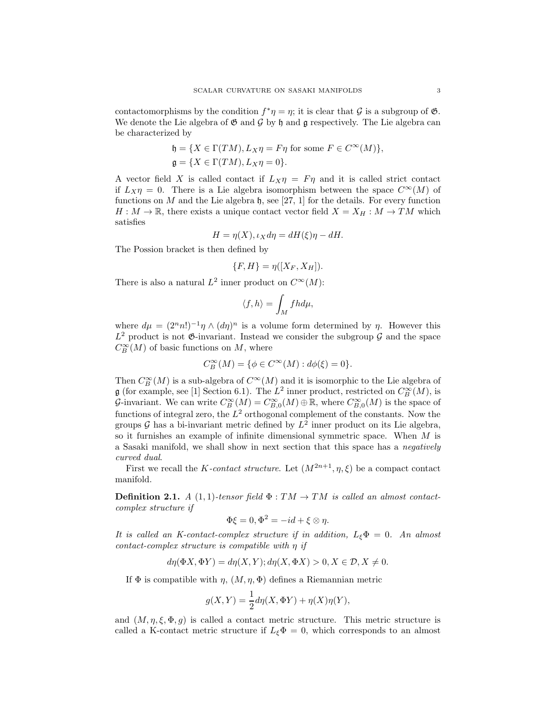contactomorphisms by the condition  $f^*\eta = \eta$ ; it is clear that  $\mathcal G$  is a subgroup of  $\mathfrak G$ . We denote the Lie algebra of  $\mathfrak{G}$  and  $\mathfrak{G}$  by  $\mathfrak{h}$  and  $\mathfrak{g}$  respectively. The Lie algebra can be characterized by

$$
\begin{aligned} \mathfrak{h} &= \{X \in \Gamma(TM), L_X\eta = F\eta \text{ for some } F \in C^\infty(M)\}, \\ \mathfrak{g} &= \{X \in \Gamma(TM), L_X\eta = 0\}. \end{aligned}
$$

A vector field X is called contact if  $L_X \eta = F \eta$  and it is called strict contact if  $L_X \eta = 0$ . There is a Lie algebra isomorphism between the space  $C^{\infty}(M)$  of functions on M and the Lie algebra  $\mathfrak{h}$ , see [27, 1] for the details. For every function  $H: M \to \mathbb{R}$ , there exists a unique contact vector field  $X = X_H : M \to TM$  which satisfies

$$
H = \eta(X), \iota_X d\eta = dH(\xi)\eta - dH.
$$

The Possion bracket is then defined by

$$
\{F, H\} = \eta([X_F, X_H]).
$$

There is also a natural  $L^2$  inner product on  $C^{\infty}(M)$ :

$$
\langle f, h \rangle = \int_M f h d\mu,
$$

where  $d\mu = (2^n n!)^{-1} \eta \wedge (d\eta)^n$  is a volume form determined by  $\eta$ . However this  $L^2$  product is not  $\mathfrak{G}$ -invariant. Instead we consider the subgroup  $\mathcal G$  and the space  $C^{\infty}_B(M)$  of basic functions on  $M$ , where

$$
C_B^{\infty}(M) = \{ \phi \in C^{\infty}(M) : d\phi(\xi) = 0 \}.
$$

Then  $C^{\infty}_B(M)$  is a sub-algebra of  $C^{\infty}(M)$  and it is isomorphic to the Lie algebra of **g** (for example, see [1] Section 6.1). The  $L^2$  inner product, restricted on  $C_B^{\infty}(M)$ , is G-invariant. We can write  $C_B^{\infty}(M) = C_{B,0}^{\infty}(M) \oplus \mathbb{R}$ , where  $C_{B,0}^{\infty}(M)$  is the space of functions of integral zero, the  $L^2$  orthogonal complement of the constants. Now the groups  $\mathcal G$  has a bi-invariant metric defined by  $L^2$  inner product on its Lie algebra, so it furnishes an example of infinite dimensional symmetric space. When M is a Sasaki manifold, we shall show in next section that this space has a *negatively curved dual*.

First we recall the K-contact structure. Let  $(M^{2n+1}, \eta, \xi)$  be a compact contact manifold.

**Definition 2.1.** *A* (1, 1)*-tensor field*  $\Phi : TM \rightarrow TM$  *is called an almost contactcomplex structure if*

$$
\Phi \xi = 0, \Phi^2 = -id + \xi \otimes \eta.
$$

*It is called an K-contact-complex structure if in addition,* LξΦ = 0*. An almost contact-complex structure is compatible with* η *if*

$$
d\eta(\Phi X, \Phi Y) = d\eta(X, Y); d\eta(X, \Phi X) > 0, X \in \mathcal{D}, X \neq 0.
$$

If  $\Phi$  is compatible with  $\eta$ ,  $(M, \eta, \Phi)$  defines a Riemannian metric

$$
g(X,Y) = \frac{1}{2}d\eta(X,\Phi Y) + \eta(X)\eta(Y),
$$

and  $(M, \eta, \xi, \Phi, g)$  is called a contact metric structure. This metric structure is called a K-contact metric structure if  $L_{\xi} \Phi = 0$ , which corresponds to an almost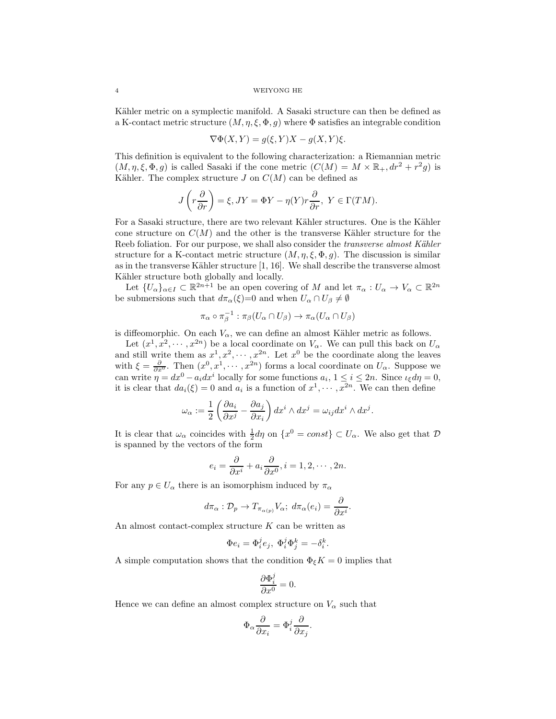Kähler metric on a symplectic manifold. A Sasaki structure can then be defined as a K-contact metric structure  $(M, \eta, \xi, \Phi, g)$  where  $\Phi$  satisfies an integrable condition

$$
\nabla \Phi(X, Y) = g(\xi, Y)X - g(X, Y)\xi.
$$

This definition is equivalent to the following characterization: a Riemannian metric  $(M, \eta, \xi, \Phi, g)$  is called Sasaki if the cone metric  $(C(M) = M \times \mathbb{R}_+, dr^2 + r^2 g)$  is Kähler. The complex structure  $J$  on  $C(M)$  can be defined as

$$
J\left(r\frac{\partial}{\partial r}\right) = \xi, JY = \Phi Y - \eta(Y)r\frac{\partial}{\partial r}, Y \in \Gamma(TM).
$$

For a Sasaki structure, there are two relevant Kähler structures. One is the Kähler cone structure on  $C(M)$  and the other is the transverse Kähler structure for the Reeb foliation. For our purpose, we shall also consider the *transverse almost Kähler* structure for a K-contact metric structure  $(M, \eta, \xi, \Phi, g)$ . The discussion is similar as in the transverse Kähler structure  $[1, 16]$ . We shall describe the transverse almost Kähler structure both globally and locally.

Let  $\{U_{\alpha}\}_{{\alpha}\in I}\subset \mathbb{R}^{2n+1}$  be an open covering of M and let  $\pi_{\alpha}: U_{\alpha}\to V_{\alpha}\subset \mathbb{R}^{2n}$ be submersions such that  $d\pi_{\alpha}(\xi)=0$  and when  $U_{\alpha} \cap U_{\beta} \neq \emptyset$ 

$$
\pi_\alpha \circ \pi_\beta^{-1} : \pi_\beta(U_\alpha \cap U_\beta) \to \pi_\alpha(U_\alpha \cap U_\beta)
$$

is diffeomorphic. On each  $V_{\alpha}$ , we can define an almost Kähler metric as follows.

Let  $(x^1, x^2, \dots, x^{2n})$  be a local coordinate on  $V_\alpha$ . We can pull this back on  $U_\alpha$ and still write them as  $x^1, x^2, \cdots, x^{2n}$ . Let  $x^0$  be the coordinate along the leaves with  $\xi = \frac{\partial}{\partial x^0}$ . Then  $(x^0, x^1, \dots, x^{2n})$  forms a local coordinate on  $U_\alpha$ . Suppose we can write  $\eta = dx^0 - a_i dx^i$  locally for some functions  $a_i$ ,  $1 \le i \le 2n$ . Since  $\iota_{\xi} d\eta = 0$ , it is clear that  $da_i(\xi) = 0$  and  $a_i$  is a function of  $x^1, \dots, x^{2n}$ . We can then define

$$
\omega_{\alpha} := \frac{1}{2} \left( \frac{\partial a_i}{\partial x^j} - \frac{\partial a_j}{\partial x_i} \right) dx^i \wedge dx^j = \omega_{ij} dx^i \wedge dx^j.
$$

It is clear that  $\omega_{\alpha}$  coincides with  $\frac{1}{2}d\eta$  on  $\{x^0 = const\} \subset U_{\alpha}$ . We also get that  $\mathcal{D}$ is spanned by the vectors of the form

$$
e_i = \frac{\partial}{\partial x^i} + a_i \frac{\partial}{\partial x^0}, i = 1, 2, \cdots, 2n.
$$

For any  $p \in U_\alpha$  there is an isomorphism induced by  $\pi_\alpha$ 

$$
d\pi_{\alpha}: \mathcal{D}_{p} \to T_{\pi_{\alpha(p)}} V_{\alpha}; \ d\pi_{\alpha}(e_{i}) = \frac{\partial}{\partial x^{i}}.
$$

An almost contact-complex structure K can be written as

$$
\Phi e_i = \Phi_i^j e_j, \ \Phi_i^j \Phi_j^k = -\delta_i^k.
$$

A simple computation shows that the condition  $\Phi_{\xi}K = 0$  implies that

$$
\frac{\partial \Phi_i^j}{\partial x^0} = 0.
$$

Hence we can define an almost complex structure on  $V_{\alpha}$  such that

$$
\Phi_{\alpha}\frac{\partial}{\partial x_i}=\Phi^j_i\frac{\partial}{\partial x_j}.
$$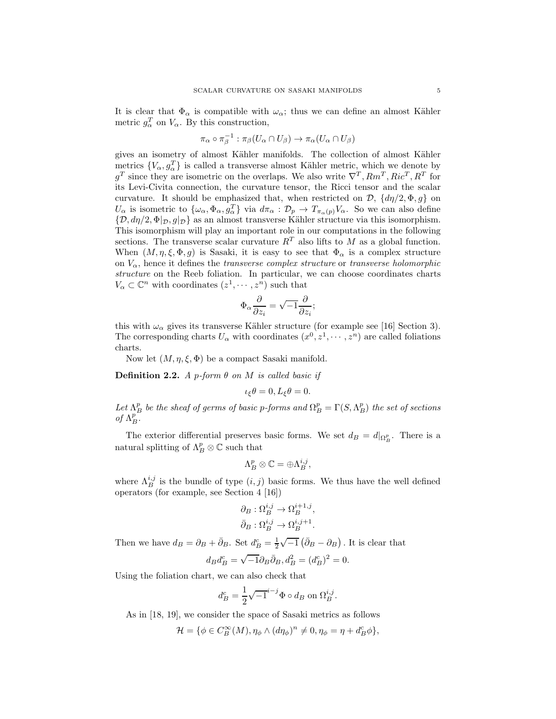It is clear that  $\Phi_{\alpha}$  is compatible with  $\omega_{\alpha}$ ; thus we can define an almost Kähler metric  $g_{\alpha}^{T}$  on  $V_{\alpha}$ . By this construction,

$$
\pi_{\alpha} \circ \pi_{\beta}^{-1} : \pi_{\beta}(U_{\alpha} \cap U_{\beta}) \to \pi_{\alpha}(U_{\alpha} \cap U_{\beta})
$$

gives an isometry of almost Kähler manifolds. The collection of almost Kähler metrics  $\{V_{\alpha}, g_{\alpha}^T\}$  is called a transverse almost Kähler metric, which we denote by  $g^T$  since they are isometric on the overlaps. We also write  $\nabla^T, Rm^T, Ric^T, R^T$  for its Levi-Civita connection, the curvature tensor, the Ricci tensor and the scalar curvature. It should be emphasized that, when restricted on  $\mathcal{D}, \{d\eta/2, \Phi, g\}$  on  $U_{\alpha}$  is isometric to  $\{\omega_{\alpha}, \Phi_{\alpha}, g_{\alpha}^T\}$  via  $d\pi_{\alpha} : \mathcal{D}_p \to T_{\pi_{\alpha}(p)}V_{\alpha}$ . So we can also define  ${\mathcal{D}, \mathit{d}\eta/2, \Phi|_{\mathcal{D},\mathit{G}}|_{\mathcal{D}}}$  as an almost transverse Kähler structure via this isomorphism. This isomorphism will play an important role in our computations in the following sections. The transverse scalar curvature  $R<sup>T</sup>$  also lifts to M as a global function. When  $(M, \eta, \xi, \Phi, g)$  is Sasaki, it is easy to see that  $\Phi_{\alpha}$  is a complex structure on Vα, hence it defines the *transverse complex structure* or *transverse holomorphic structure* on the Reeb foliation. In particular, we can choose coordinates charts  $V_{\alpha} \subset \mathbb{C}^n$  with coordinates  $(z^1, \dots, z^n)$  such that

$$
\Phi_{\alpha}\frac{\partial}{\partial z_i}=\sqrt{-1}\frac{\partial}{\partial z_i};
$$

this with  $\omega_{\alpha}$  gives its transverse Kähler structure (for example see [16] Section 3). The corresponding charts  $U_{\alpha}$  with coordinates  $(x^0, z^1, \dots, z^n)$  are called foliations charts.

Now let  $(M, \eta, \xi, \Phi)$  be a compact Sasaki manifold.

Definition 2.2. *A* p*-form* θ *on* M *is called basic if*

$$
\iota_{\xi}\theta = 0, L_{\xi}\theta = 0.
$$

Let  $\Lambda_B^p$  be the sheaf of germs of basic p-forms and  $\Omega_B^p = \Gamma(S, \Lambda_B^p)$  the set of sections of  $\Lambda_B^p$ .

The exterior differential preserves basic forms. We set  $d_B = d|_{\Omega_B^p}$ . There is a natural splitting of  $\Lambda_B^p\otimes\mathbb{C}$  such that

$$
\Lambda_B^p\otimes\mathbb{C}=\oplus \Lambda_B^{i,j},
$$

where  $\Lambda_B^{i,j}$  is the bundle of type  $(i, j)$  basic forms. We thus have the well defined operators (for example, see Section 4 [16])

$$
\partial_B : \Omega_B^{i,j} \to \Omega_B^{i+1,j},
$$
  

$$
\bar{\partial}_B : \Omega_B^{i,j} \to \Omega_B^{i,j+1}.
$$

Then we have  $d_B = \partial_B + \bar{\partial}_B$ . Set  $d_B^c = \frac{1}{2}\sqrt{-1}(\bar{\partial}_B - \partial_B)$ . It is clear that

$$
d_B d_B^c = \sqrt{-1} \partial_B \bar{\partial}_B, d_B^2 = (d_B^c)^2 = 0.
$$

Using the foliation chart, we can also check that

$$
d_B^c = \frac{1}{2}\sqrt{-1}^{i-j}\Phi \circ d_B \text{ on } \Omega_B^{i,j}.
$$

As in [18, 19], we consider the space of Sasaki metrics as follows

$$
\mathcal{H} = \{ \phi \in C_B^{\infty}(M), \eta_{\phi} \wedge (d\eta_{\phi})^n \neq 0, \eta_{\phi} = \eta + d_B^c \phi \},
$$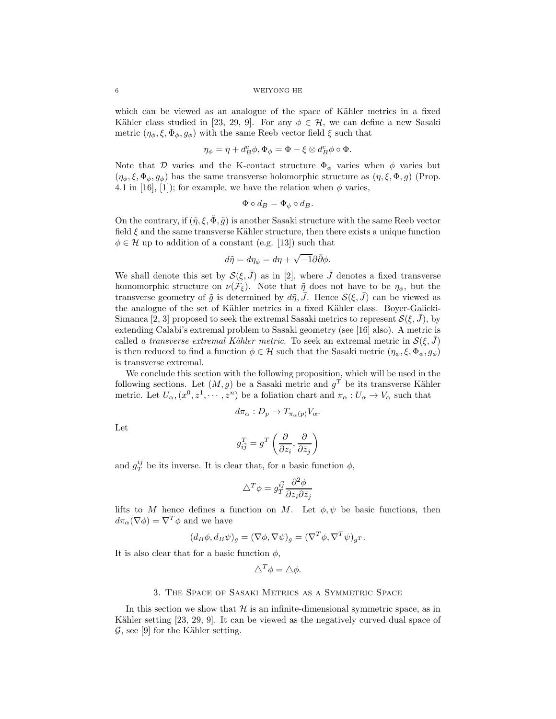which can be viewed as an analogue of the space of Kähler metrics in a fixed Kähler class studied in [23, 29, 9]. For any  $\phi \in \mathcal{H}$ , we can define a new Sasaki metric  $(\eta_{\phi}, \xi, \Phi_{\phi}, g_{\phi})$  with the same Reeb vector field  $\xi$  such that

$$
\eta_{\phi} = \eta + d_B^c \phi, \Phi_{\phi} = \Phi - \xi \otimes d_B^c \phi \circ \Phi.
$$

Note that D varies and the K-contact structure  $\Phi_{\phi}$  varies when  $\phi$  varies but  $(\eta_{\phi}, \xi, \Phi_{\phi}, g_{\phi})$  has the same transverse holomorphic structure as  $(\eta, \xi, \Phi, g)$  (Prop. 4.1 in [16], [1]); for example, we have the relation when  $\phi$  varies,

$$
\Phi \circ d_B = \Phi_{\phi} \circ d_B.
$$

On the contrary, if  $(\tilde{\eta}, \xi, \tilde{\Phi}, \tilde{g})$  is another Sasaki structure with the same Reeb vector field  $\xi$  and the same transverse Kähler structure, then there exists a unique function  $\phi \in \mathcal{H}$  up to addition of a constant (e.g. [13]) such that

$$
d\tilde{\eta} = d\eta_{\phi} = d\eta + \sqrt{-1}\partial\bar{\partial}\phi.
$$

We shall denote this set by  $\mathcal{S}(\xi, \bar{J})$  as in [2], where  $\bar{J}$  denotes a fixed transverse homomorphic structure on  $\nu(\mathcal{F}_{\xi})$ . Note that  $\tilde{\eta}$  does not have to be  $\eta_{\phi}$ , but the transverse geometry of  $\tilde{g}$  is determined by  $d\tilde{\eta}, \bar{J}$ . Hence  $\mathcal{S}(\xi, \bar{J})$  can be viewed as the analogue of the set of Kähler metrics in a fixed Kähler class. Boyer-Galicki-Simanca [2, 3] proposed to seek the extremal Sasaki metrics to represent  $\mathcal{S}(\xi, \bar{J})$ , by extending Calabi's extremal problem to Sasaki geometry (see [16] also). A metric is called *a transverse extremal Kähler metric*. To seek an extremal metric in  $\mathcal{S}(\xi, \bar{J})$ is then reduced to find a function  $\phi \in \mathcal{H}$  such that the Sasaki metric  $(\eta_{\phi}, \xi, \Phi_{\phi}, g_{\phi})$ is transverse extremal.

We conclude this section with the following proposition, which will be used in the following sections. Let  $(M, g)$  be a Sasaki metric and  $g<sup>T</sup>$  be its transverse Kähler metric. Let  $U_{\alpha}$ ,  $(x^0, z^1, \dots, z^n)$  be a foliation chart and  $\pi_{\alpha}: U_{\alpha} \to V_{\alpha}$  such that

$$
d\pi_{\alpha}: D_p \to T_{\pi_{\alpha}(p)}V_{\alpha}.
$$

Let

$$
g_{i\bar{j}}^T = g^T \left( \frac{\partial}{\partial z_i}, \frac{\partial}{\partial \bar{z}_j} \right)
$$

and  $g_T^{i\bar{j}}$  be its inverse. It is clear that, for a basic function  $\phi$ ,

$$
\triangle^T \phi = g_T^{i\bar{j}} \frac{\partial^2 \phi}{\partial z_i \partial \bar{z}_j}
$$

lifts to M hence defines a function on M. Let  $\phi, \psi$  be basic functions, then  $d\pi_{\alpha}(\nabla \phi) = \nabla^T \phi$  and we have

$$
(d_B \phi, d_B \psi)_g = (\nabla \phi, \nabla \psi)_g = (\nabla^T \phi, \nabla^T \psi)_{g^T}.
$$

It is also clear that for a basic function  $\phi$ ,

$$
\triangle^T \phi = \triangle \phi.
$$

## 3. The Space of Sasaki Metrics as a Symmetric Space

In this section we show that  $H$  is an infinite-dimensional symmetric space, as in Kähler setting [23, 29, 9]. It can be viewed as the negatively curved dual space of  $\mathcal{G}$ , see [9] for the Kähler setting.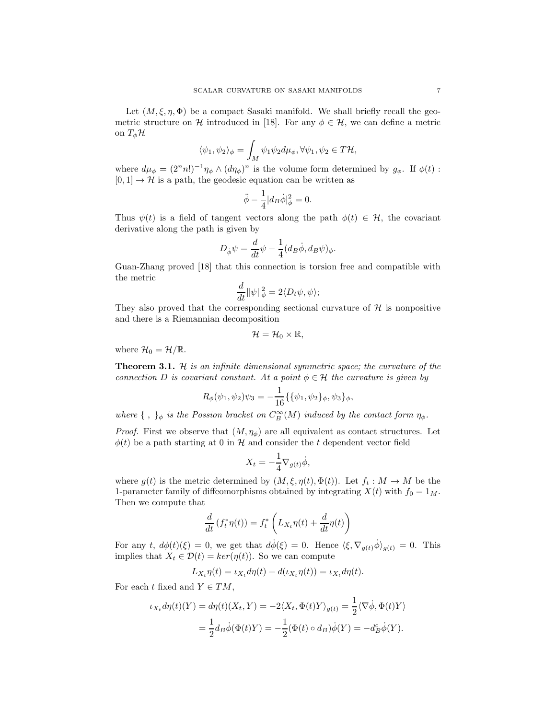Let  $(M, \xi, \eta, \Phi)$  be a compact Sasaki manifold. We shall briefly recall the geometric structure on H introduced in [18]. For any  $\phi \in \mathcal{H}$ , we can define a metric on  $T_{\phi} \mathcal{H}$ 

$$
\langle \psi_1, \psi_2 \rangle_{\phi} = \int_M \psi_1 \psi_2 d\mu_{\phi}, \forall \psi_1, \psi_2 \in T\mathcal{H},
$$

where  $d\mu_{\phi} = (2^n n!)^{-1} \eta_{\phi} \wedge (d\eta_{\phi})^n$  is the volume form determined by  $g_{\phi}$ . If  $\phi(t)$ :  $[0, 1] \rightarrow \mathcal{H}$  is a path, the geodesic equation can be written as

$$
\ddot{\phi} - \frac{1}{4} |d_B \dot{\phi}|^2_{\phi} = 0.
$$

Thus  $\psi(t)$  is a field of tangent vectors along the path  $\phi(t) \in \mathcal{H}$ , the covariant derivative along the path is given by

$$
D_{\dot{\phi}}\psi = \frac{d}{dt}\psi - \frac{1}{4}(d_B\dot{\phi}, d_B\psi)_{\phi}.
$$

Guan-Zhang proved [18] that this connection is torsion free and compatible with the metric

$$
\frac{d}{dt} \|\psi\|_{\phi}^{2} = 2\langle D_{t}\psi, \psi \rangle;
$$

They also proved that the corresponding sectional curvature of  $H$  is nonpositive and there is a Riemannian decomposition

$$
\mathcal{H}=\mathcal{H}_0\times\mathbb{R},
$$

where  $\mathcal{H}_0 = \mathcal{H}/\mathbb{R}$ .

Theorem 3.1. H *is an infinite dimensional symmetric space; the curvature of the connection* D *is covariant constant.* At a point  $\phi \in \mathcal{H}$  the curvature is given by

$$
R_{\phi}(\psi_1, \psi_2)\psi_3 = -\frac{1}{16}\{\{\psi_1, \psi_2\}_{\phi}, \psi_3\}_{\phi},
$$

*where*  $\{\ ,\ \}_\phi$  *is the Possion bracket on*  $C_B^{\infty}(M)$  *induced by the contact form*  $\eta_\phi$ *.* 

*Proof.* First we observe that  $(M, \eta_\phi)$  are all equivalent as contact structures. Let  $\phi(t)$  be a path starting at 0 in H and consider the t dependent vector field

$$
X_t = -\frac{1}{4} \nabla_{g(t)} \dot{\phi},
$$

where  $g(t)$  is the metric determined by  $(M, \xi, \eta(t), \Phi(t))$ . Let  $f_t : M \to M$  be the 1-parameter family of diffeomorphisms obtained by integrating  $X(t)$  with  $f_0 = 1_M$ . Then we compute that

$$
\frac{d}{dt}\left(f_t^*\eta(t)\right) = f_t^*\left(L_{X_t}\eta(t) + \frac{d}{dt}\eta(t)\right)
$$

For any t,  $d\phi(t)(\xi) = 0$ , we get that  $d\dot{\phi}(\xi) = 0$ . Hence  $\langle \xi, \nabla_{g(t)} \dot{\phi} \rangle_{g(t)} = 0$ . This implies that  $X_t \in \mathcal{D}(t) = \ker(\eta(t))$ . So we can compute

$$
L_{X_t}\eta(t) = \iota_{X_t}d\eta(t) + d(\iota_{X_t}\eta(t)) = \iota_{X_t}d\eta(t).
$$

For each t fixed and  $Y \in TM$ ,

$$
\iota_{X_t} d\eta(t)(Y) = d\eta(t)(X_t, Y) = -2\langle X_t, \Phi(t)Y \rangle_{g(t)} = \frac{1}{2} \langle \nabla \dot{\phi}, \Phi(t)Y \rangle
$$
  
= 
$$
\frac{1}{2} d_B \dot{\phi}(\Phi(t)Y) = -\frac{1}{2} (\Phi(t) \circ d_B) \dot{\phi}(Y) = -d_B^c \dot{\phi}(Y).
$$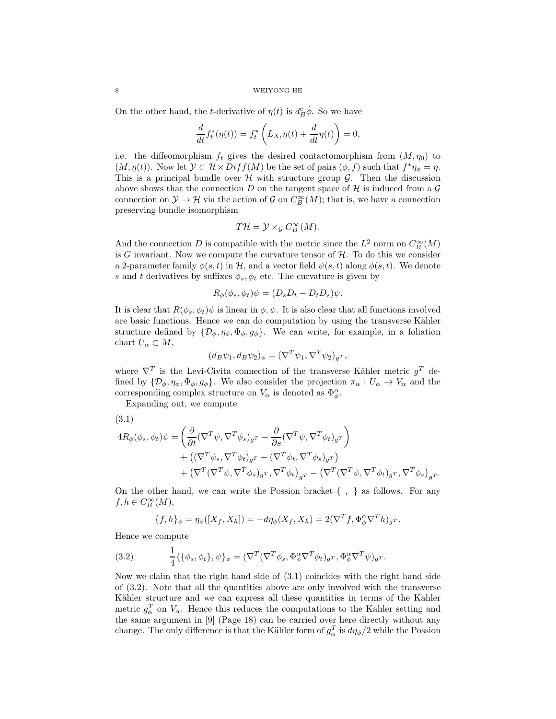On the other hand, the *t*-derivative of  $\eta(t)$  is  $d_B^c \dot{\phi}$ . So we have

$$
\frac{d}{dt}f_t^*(\eta(t)) = f_t^*\left(L_{X_t}\eta(t) + \frac{d}{dt}\eta(t)\right) = 0,
$$

i.e. the diffeomorphism  $f_t$  gives the desired contactomorphism from  $(M, \eta_0)$  to  $(M, \eta(t))$ . Now let  $\mathcal{Y} \subset \mathcal{H} \times Diff(M)$  be the set of pairs  $(\phi, f)$  such that  $f^*\eta_{\phi} = \eta$ . This is a principal bundle over  $H$  with structure group  $G$ . Then the discussion above shows that the connection D on the tangent space of H is induced from a  $\mathcal G$ connection on  $\mathcal{Y} \to \mathcal{H}$  via the action of  $\mathcal{G}$  on  $C^{\infty}_B(M)$ ; that is, we have a connection preserving bundle isomorphism

$$
T\mathcal{H}=\mathcal{Y}\times_{\mathcal{G}}C^{\infty}_B(M).
$$

And the connection D is compatible with the metric since the  $L^2$  norm on  $C^{\infty}_B(M)$ is G invariant. Now we compute the curvature tensor of  $H$ . To do this we consider a 2-parameter family  $\phi(s,t)$  in H, and a vector field  $\psi(s,t)$  along  $\phi(s,t)$ . We denote s and t derivatives by suffixes  $\phi_s, \phi_t$  etc. The curvature is given by

$$
R_{\phi}(\phi_s, \phi_t)\psi = (D_s D_t - D_t D_s)\psi.
$$

It is clear that  $R(\phi_s, \phi_t)\psi$  is linear in  $\phi, \psi$ . It is also clear that all functions involved are basic functions. Hence we can do computation by using the transverse Kähler structure defined by  $\{\mathcal{D}_{\phi}, \eta_{\phi}, \Phi_{\phi}, g_{\phi}\}\$ . We can write, for example, in a foliation chart  $U_{\alpha} \subset M$ ,

$$
(d_B \psi_1, d_B \psi_2)_{\phi} = (\nabla^T \psi_1, \nabla^T \psi_2)_{g^T},
$$

where  $\nabla^T$  is the Levi-Civita connection of the transverse Kähler metric  $g^T$  defined by  $\{\mathcal{D}_{\phi}, \eta_{\phi}, \Phi_{\phi}, g_{\phi}\}\$ . We also consider the projection  $\pi_{\alpha}: U_{\alpha} \to V_{\alpha}$  and the corresponding complex structure on  $V_{\alpha}$  is denoted as  $\Phi_{\phi}^{\alpha}$ .

Expanding out, we compute

$$
(3.1)
$$

$$
4R_{\phi}(\phi_s, \phi_t)\psi = \left(\frac{\partial}{\partial t}(\nabla^T \psi, \nabla^T \phi_s)_{g^T} - \frac{\partial}{\partial s}(\nabla^T \psi, \nabla^T \phi_t)_{g^T}\right) + \left((\nabla^T \psi_s, \nabla^T \phi_t)_{g^T} - (\nabla^T \psi_t, \nabla^T \phi_s)_{g^T}\right) + \left(\nabla^T(\nabla^T \psi, \nabla^T \phi_s)_{g^T}, \nabla^T \phi_t\right)_{g^T} - \left(\nabla^T(\nabla^T \psi, \nabla^T \phi_t)_{g^T}, \nabla^T \phi_s\right)_{g^T}
$$

On the other hand, we can write the Possion bracket { , } as follows. For any  $f, h \in C_B^{\infty}(M)$ ,

$$
\{f,h\}_{\phi} = \eta_{\phi}([X_f,X_h]) = -d\eta_{\phi}(X_f,X_h) = 2(\nabla^T f, \Phi_{\phi}^{\alpha} \nabla^T h)_{g^T}.
$$

Hence we compute

(3.2) 
$$
\frac{1}{4}\{\{\phi_s,\phi_t\},\psi\}_\phi = (\nabla^T(\nabla^T\phi_s,\Phi_\phi^\alpha\nabla^T\phi_t)_{g^T},\Phi_\phi^\alpha\nabla^T\psi)_{g^T}.
$$

Now we claim that the right hand side of (3.1) coincides with the right hand side of (3.2). Note that all the quantities above are only involved with the transverse Kähler structure and we can express all these quantities in terms of the Kahler metric  $g_{\alpha}^T$  on  $V_{\alpha}$ . Hence this reduces the computations to the Kahler setting and the same argument in [9] (Page 18) can be carried over here directly without any change. The only difference is that the Kähler form of  $g_{\alpha}^T$  is  $d\eta_{\phi}/2$  while the Possion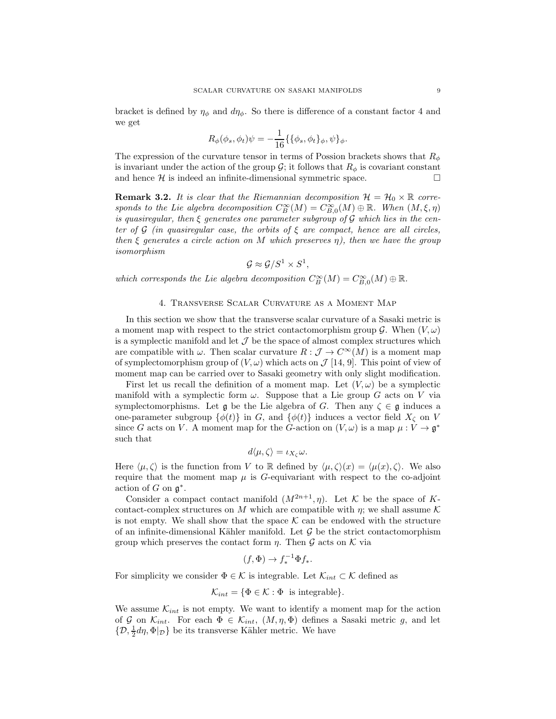bracket is defined by  $\eta_{\phi}$  and  $d\eta_{\phi}$ . So there is difference of a constant factor 4 and we get

$$
R_{\phi}(\phi_s, \phi_t)\psi = -\frac{1}{16}\{\{\phi_s, \phi_t\}_{\phi}, \psi\}_{\phi}.
$$

The expression of the curvature tensor in terms of Possion brackets shows that  $R_{\phi}$ is invariant under the action of the group  $\mathcal{G}$ ; it follows that  $R_{\phi}$  is covariant constant and hence  $\mathcal{H}$  is indeed an infinite-dimensional symmetric space. and hence  $H$  is indeed an infinite-dimensional symmetric space.

**Remark 3.2.** It is clear that the Riemannian decomposition  $\mathcal{H} = \mathcal{H}_0 \times \mathbb{R}$  corre*sponds to the Lie algebra decomposition*  $C^{\infty}_B(M) = C^{\infty}_{B,0}(M) \oplus \mathbb{R}$ *. When*  $(M, \xi, \eta)$ *is quasiregular, then* ξ *generates one parameter subgroup of* G *which lies in the center of* G *(in quasiregular case, the orbits of* ξ *are compact, hence are all circles, then* ξ *generates a circle action on* M *which preserves* η*), then we have the group isomorphism*

$$
\mathcal{G} \approx \mathcal{G}/S^1 \times S^1,
$$

*which corresponds the Lie algebra decomposition*  $C^{\infty}_B(M) = C^{\infty}_{B,0}(M) \oplus \mathbb{R}$ .

# 4. Transverse Scalar Curvature as a Moment Map

In this section we show that the transverse scalar curvature of a Sasaki metric is a moment map with respect to the strict contactomorphism group  $\mathcal{G}$ . When  $(V, \omega)$ is a symplectic manifold and let  $\mathcal J$  be the space of almost complex structures which are compatible with  $\omega$ . Then scalar curvature  $R : \mathcal{J} \to C^{\infty}(M)$  is a moment map of symplectomorphism group of  $(V, \omega)$  which acts on  $\mathcal{J}$  [14, 9]. This point of view of moment map can be carried over to Sasaki geometry with only slight modification.

First let us recall the definition of a moment map. Let  $(V, \omega)$  be a symplectic manifold with a symplectic form  $\omega$ . Suppose that a Lie group G acts on V via symplectomorphisms. Let  $\mathfrak g$  be the Lie algebra of G. Then any  $\zeta \in \mathfrak g$  induces a one-parameter subgroup  $\{\phi(t)\}\$ in G, and  $\{\phi(t)\}\$ induces a vector field  $X_{\zeta}$  on V since G acts on V. A moment map for the G-action on  $(V, \omega)$  is a map  $\mu : V \to \mathfrak{g}^*$ such that

$$
d\langle \mu, \zeta \rangle = \iota_{X_{\zeta}} \omega.
$$

Here  $\langle \mu, \zeta \rangle$  is the function from V to R defined by  $\langle \mu, \zeta \rangle(x) = \langle \mu(x), \zeta \rangle$ . We also require that the moment map  $\mu$  is G-equivariant with respect to the co-adjoint action of  $G$  on  $\mathfrak{g}^*$ .

Consider a compact contact manifold  $(M^{2n+1}, \eta)$ . Let K be the space of Kcontact-complex structures on M which are compatible with  $\eta$ ; we shall assume K is not empty. We shall show that the space  $K$  can be endowed with the structure of an infinite-dimensional Kähler manifold. Let  $\mathcal G$  be the strict contactomorphism group which preserves the contact form  $\eta$ . Then  $\mathcal G$  acts on  $\mathcal K$  via

$$
(f, \Phi) \to f_*^{-1} \Phi f_*.
$$

For simplicity we consider  $\Phi \in \mathcal{K}$  is integrable. Let  $\mathcal{K}_{int} \subset \mathcal{K}$  defined as

$$
\mathcal{K}_{int} = \{ \Phi \in \mathcal{K} : \Phi \text{ is integrable} \}.
$$

We assume  $\mathcal{K}_{int}$  is not empty. We want to identify a moment map for the action of G on  $\mathcal{K}_{int}$ . For each  $\Phi \in \mathcal{K}_{int}$ ,  $(M, \eta, \Phi)$  defines a Sasaki metric g, and let  $\{\mathcal{D}, \frac{1}{2}d\eta, \Phi|_{\mathcal{D}}\}$  be its transverse Kähler metric. We have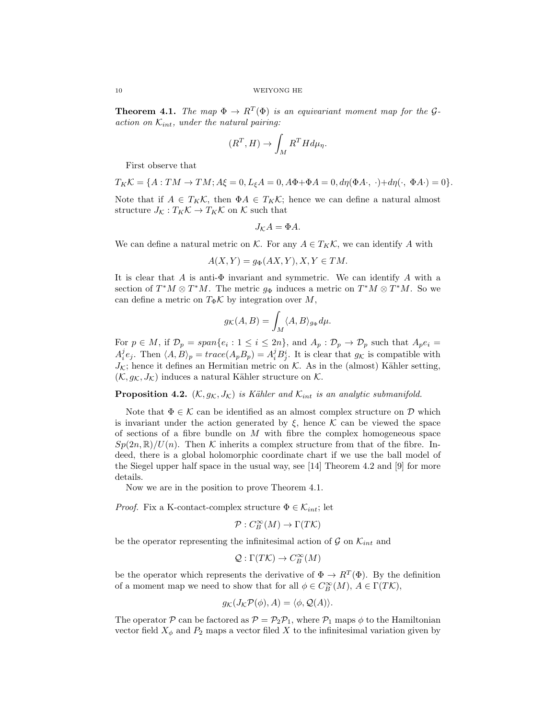**Theorem 4.1.** The map  $\Phi \to R^T(\Phi)$  is an equivariant moment map for the G*action on*  $\mathcal{K}_{int}$ *, under the natural pairing:* 

$$
(R^T, H) \to \int_M R^T H d\mu_\eta.
$$

First observe that

$$
T_K\mathcal{K} = \{A:TM \to TM; A\xi = 0, L_{\xi}A = 0, A\Phi + \Phi A = 0, d\eta(\Phi A \cdot, \cdot) + d\eta(\cdot, \Phi A \cdot) = 0\}.
$$

Note that if  $A \in T_K \mathcal{K}$ , then  $\Phi A \in T_K \mathcal{K}$ ; hence we can define a natural almost structure  $J_K : T_K \mathcal{K} \to T_K \mathcal{K}$  on  $\mathcal{K}$  such that

$$
J_{\mathcal{K}}A = \Phi A.
$$

We can define a natural metric on K. For any  $A \in T_K\mathcal{K}$ , we can identify A with

$$
A(X,Y) = g_{\Phi}(AX,Y), X, Y \in TM.
$$

It is clear that A is anti- $\Phi$  invariant and symmetric. We can identify A with a section of  $T^*M \otimes T^*M$ . The metric  $g_{\Phi}$  induces a metric on  $T^*M \otimes T^*M$ . So we can define a metric on  $T_{\Phi} \mathcal{K}$  by integration over M,

$$
g_{\mathcal{K}}(A, B) = \int_M \langle A, B \rangle_{g_{\Phi}} d\mu.
$$

For  $p \in M$ , if  $\mathcal{D}_p = span\{e_i : 1 \leq i \leq 2n\}$ , and  $A_p : \mathcal{D}_p \to \mathcal{D}_p$  such that  $A_p e_i =$  $A_i^j e_j$ . Then  $\langle A, B \rangle_p = trace(A_p B_p) = A_i^j B_j^i$ . It is clear that  $g_{\mathcal{K}}$  is compatible with  $J_{\mathcal{K}}$ ; hence it defines an Hermitian metric on  $\mathcal{K}$ . As in the (almost) Kähler setting,  $(\mathcal{K}, g_{\mathcal{K}}, J_{\mathcal{K}})$  induces a natural Kähler structure on  $\mathcal{K}$ .

**Proposition 4.2.**  $(\mathcal{K}, g_{\mathcal{K}}, J_{\mathcal{K}})$  *is Kähler and*  $\mathcal{K}_{int}$  *is an analytic submanifold.* 

Note that  $\Phi \in \mathcal{K}$  can be identified as an almost complex structure on D which is invariant under the action generated by  $\xi$ , hence K can be viewed the space of sections of a fibre bundle on  $M$  with fibre the complex homogeneous space  $Sp(2n,\mathbb{R})/U(n)$ . Then K inherits a complex structure from that of the fibre. Indeed, there is a global holomorphic coordinate chart if we use the ball model of the Siegel upper half space in the usual way, see [14] Theorem 4.2 and [9] for more details.

Now we are in the position to prove Theorem 4.1.

*Proof.* Fix a K-contact-complex structure  $\Phi \in \mathcal{K}_{int}$ ; let

$$
\mathcal{P}: C^{\infty}_B(M) \rightarrow \Gamma(T\mathcal{K})
$$

be the operator representing the infinitesimal action of  $\mathcal G$  on  $\mathcal K_{int}$  and

$$
\mathcal{Q}:\Gamma(T\mathcal{K})\to C_B^\infty(M)
$$

be the operator which represents the derivative of  $\Phi \to R^T(\Phi)$ . By the definition of a moment map we need to show that for all  $\phi \in C^{\infty}_B(M), A \in \Gamma(T\mathcal{K}),$ 

$$
g_{\mathcal{K}}(J_{\mathcal{K}}\mathcal{P}(\phi),A)=\langle\phi,\mathcal{Q}(A)\rangle.
$$

The operator P can be factored as  $P = \mathcal{P}_2 \mathcal{P}_1$ , where  $\mathcal{P}_1$  maps  $\phi$  to the Hamiltonian vector field  $X_{\phi}$  and  $P_2$  maps a vector filed X to the infinitesimal variation given by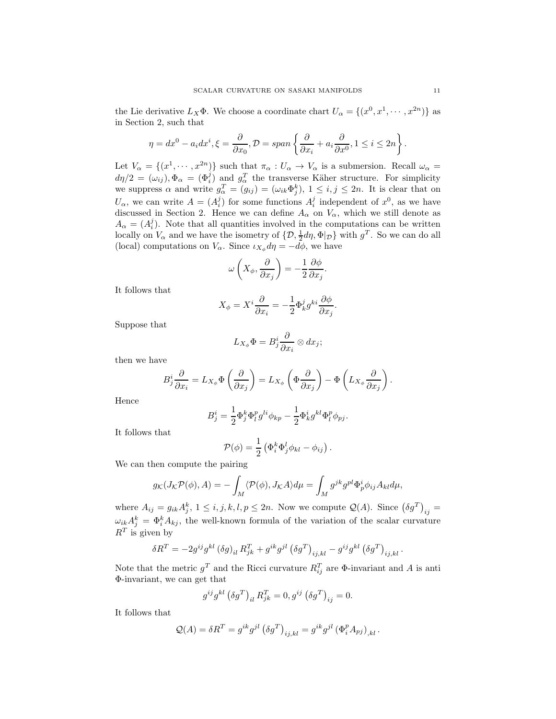the Lie derivative  $L_X\Phi$ . We choose a coordinate chart  $U_\alpha = \{(x^0, x^1, \dots, x^{2n})\}$  as in Section 2, such that

$$
\eta = dx^0 - a_i dx^i, \xi = \frac{\partial}{\partial x_0}, \mathcal{D} = span\left\{\frac{\partial}{\partial x_i} + a_i \frac{\partial}{\partial x^0}, 1 \le i \le 2n\right\}.
$$

Let  $V_{\alpha} = \{(x^1, \dots, x^{2n})\}$  such that  $\pi_{\alpha}: U_{\alpha} \to V_{\alpha}$  is a submersion. Recall  $\omega_{\alpha} =$  $d\eta/2 = (\omega_{ij}), \Phi_{\alpha} = (\Phi_i^j)$  and  $g_{\alpha}^T$  the transverse Käher structure. For simplicity we suppress  $\alpha$  and write  $g_{\alpha}^T = (g_{ij}) = (\omega_{ik} \Phi_j^k), 1 \le i, j \le 2n$ . It is clear that on  $U_{\alpha}$ , we can write  $A = (A_i^j)$  for some functions  $A_i^j$  independent of  $x^0$ , as we have discussed in Section 2. Hence we can define  $A_{\alpha}$  on  $V_{\alpha}$ , which we still denote as  $A_{\alpha} = (A_i^j)$ . Note that all quantities involved in the computations can be written locally on  $V_{\alpha}$  and we have the isometry of  $\{D, \frac{1}{2}d\eta, \Phi|_{\mathcal{D}}\}$  with  $g^T$ . So we can do all (local) computations on  $V_{\alpha}$ . Since  $\iota_{X_{\phi}} d\eta = -d\phi$ , we have

$$
\omega\left(X_{\phi}, \frac{\partial}{\partial x_j}\right) = -\frac{1}{2} \frac{\partial \phi}{\partial x_j}.
$$

It follows that

$$
X_{\phi} = X^{i} \frac{\partial}{\partial x_{i}} = -\frac{1}{2} \Phi_{k}^{j} g^{ki} \frac{\partial \phi}{\partial x_{j}}.
$$

Suppose that

$$
L_{X_{\phi}}\Phi = B_j^i \frac{\partial}{\partial x_i} \otimes dx_j;
$$

then we have

$$
B_j^i \frac{\partial}{\partial x_i} = L_{X_{\phi}} \Phi \left( \frac{\partial}{\partial x_j} \right) = L_{X_{\phi}} \left( \Phi \frac{\partial}{\partial x_j} \right) - \Phi \left( L_{X_{\phi}} \frac{\partial}{\partial x_j} \right).
$$

Hence

$$
B_j^i = \frac{1}{2} \Phi_j^k \Phi_l^p g^{li} \phi_{kp} - \frac{1}{2} \Phi_k^i g^{kl} \Phi_l^p \phi_{pj}.
$$

It follows that

$$
\mathcal{P}(\phi) = \frac{1}{2} \left( \Phi_i^k \Phi_j^l \phi_{kl} - \phi_{ij} \right).
$$

We can then compute the pairing

$$
g_{\mathcal{K}}(J_{\mathcal{K}}\mathcal{P}(\phi),A)=-\int_M \langle \mathcal{P}(\phi), J_{\mathcal{K}}A\rangle d\mu = \int_M g^{jk}g^{pl}\Phi_p^i\phi_{ij}A_{kl}d\mu,
$$

where  $A_{ij} = g_{ik} A_j^k$ ,  $1 \le i, j, k, l, p \le 2n$ . Now we compute  $\mathcal{Q}(A)$ . Since  $(\delta g^T)_{ij} =$  $\omega_{ik}A_j^k = \Phi_i^k A_{kj}$ , the well-known formula of the variation of the scalar curvature  $R^T$  is given by

$$
\delta R^T = -2g^{ij}g^{kl} \left(\delta g\right)_{il} R_{jk}^T + g^{ik}g^{jl} \left(\delta g^T\right)_{ij,kl} - g^{ij}g^{kl} \left(\delta g^T\right)_{ij,kl}.
$$

Note that the metric  $g^T$  and the Ricci curvature  $R_{ij}^T$  are  $\Phi$ -invariant and A is anti Φ-invariant, we can get that

$$
g^{ij}g^{kl} (\delta g^T)_{il} R_{jk}^T = 0, g^{ij} (\delta g^T)_{ij} = 0.
$$

It follows that

$$
Q(A) = \delta R^{T} = g^{ik} g^{jl} (\delta g^{T})_{ij,kl} = g^{ik} g^{jl} (\Phi_{i}^{p} A_{pj})_{,kl}.
$$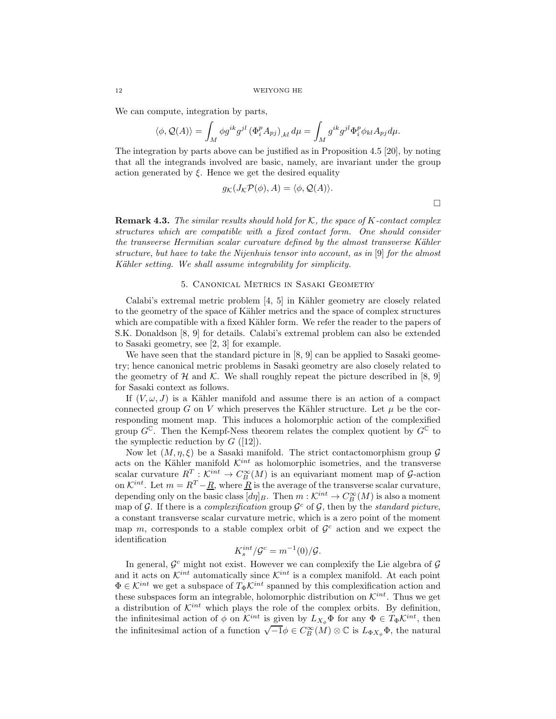We can compute, integration by parts,

$$
\langle \phi, \mathcal{Q}(A) \rangle = \int_M \phi g^{ik} g^{jl} \left( \Phi_i^p A_{pj} \right)_{,kl} d\mu = \int_M g^{ik} g^{jl} \Phi_i^p \phi_{kl} A_{pj} d\mu.
$$

The integration by parts above can be justified as in Proposition 4.5 [20], by noting that all the integrands involved are basic, namely, are invariant under the group action generated by  $\xi$ . Hence we get the desired equality

$$
g_{\mathcal{K}}(J_{\mathcal{K}}\mathcal{P}(\phi), A) = \langle \phi, \mathcal{Q}(A) \rangle.
$$

Remark 4.3. *The similar results should hold for* K*, the space of* K*-contact complex structures which are compatible with a fixed contact form. One should consider the transverse Hermitian scalar curvature defined by the almost transverse Kähler structure, but have to take the Nijenhuis tensor into account, as in* [9] *for the almost K¨ahler setting. We shall assume integrability for simplicity.*

# 5. Canonical Metrics in Sasaki Geometry

Calabi's extremal metric problem  $[4, 5]$  in Kähler geometry are closely related to the geometry of the space of Kähler metrics and the space of complex structures which are compatible with a fixed Kähler form. We refer the reader to the papers of S.K. Donaldson [8, 9] for details. Calabi's extremal problem can also be extended to Sasaki geometry, see [2, 3] for example.

We have seen that the standard picture in [8, 9] can be applied to Sasaki geometry; hence canonical metric problems in Sasaki geometry are also closely related to the geometry of H and K. We shall roughly repeat the picture described in [8, 9] for Sasaki context as follows.

If  $(V, \omega, J)$  is a Kähler manifold and assume there is an action of a compact connected group G on V which preserves the Kähler structure. Let  $\mu$  be the corresponding moment map. This induces a holomorphic action of the complexified group  $G^{\mathbb{C}}$ . Then the Kempf-Ness theorem relates the complex quotient by  $G^{\mathbb{C}}$  to the symplectic reduction by  $G$  ([12]).

Now let  $(M, \eta, \xi)$  be a Sasaki manifold. The strict contactomorphism group  $\mathcal G$ acts on the Kähler manifold  $\mathcal{K}^{int}$  as holomorphic isometries, and the transverse scalar curvature  $R^T: \mathcal{K}^{int} \to C_B^{\infty}(M)$  is an equivariant moment map of G-action on  $\mathcal{K}^{int}$ . Let  $m = R^T - \underline{R}$ , where  $\underline{R}$  is the average of the transverse scalar curvature, depending only on the basic class  $[d\eta]_B$ . Then  $m : \mathcal{K}^{int} \to C_B^{\infty}(M)$  is also a moment map of  $G$ . If there is a *complexification* group  $G^c$  of  $G$ , then by the *standard picture*, a constant transverse scalar curvature metric, which is a zero point of the moment map  $m$ , corresponds to a stable complex orbit of  $\mathcal{G}^c$  action and we expect the identification

$$
K_s^{int}/\mathcal{G}^c = m^{-1}(0)/\mathcal{G}.
$$

In general,  $\mathcal{G}^c$  might not exist. However we can complexify the Lie algebra of  $\mathcal{G}$ and it acts on  $\mathcal{K}^{int}$  automatically since  $\mathcal{K}^{int}$  is a complex manifold. At each point  $\Phi \in \mathcal{K}^{int}$  we get a subspace of  $T_{\Phi} \mathcal{K}^{int}$  spanned by this complexification action and these subspaces form an integrable, holomorphic distribution on  $\mathcal{K}^{int}$ . Thus we get a distribution of  $\mathcal{K}^{int}$  which plays the role of the complex orbits. By definition, the infinitesimal action of  $\phi$  on  $\mathcal{K}^{int}$  is given by  $L_{X_{\phi}}\Phi$  for any  $\Phi \in T_{\Phi}\mathcal{K}^{int}$ , then the infinitesimal action of a function  $\sqrt{-1}\phi \in C_B^{\infty}(\mathcal{M})\otimes \mathbb{C}$  is  $L_{\Phi X_{\phi}}\Phi$ , the natural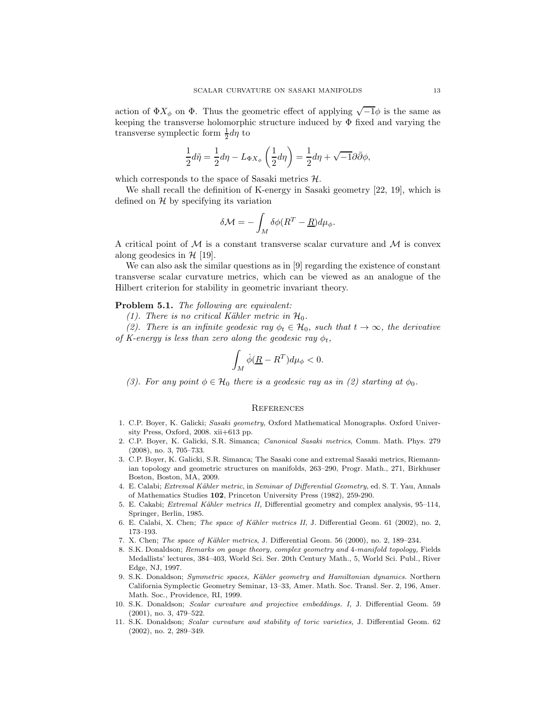action of  $\Phi X_{\phi}$  on  $\Phi$ . Thus the geometric effect of applying  $\sqrt{-1}\phi$  is the same as keeping the transverse holomorphic structure induced by  $\Phi$  fixed and varying the transverse symplectic form  $\frac{1}{2}d\eta$  to

$$
\frac{1}{2}d\tilde{\eta} = \frac{1}{2}d\eta - L_{\Phi X_{\phi}}\left(\frac{1}{2}d\eta\right) = \frac{1}{2}d\eta + \sqrt{-1}\partial\bar{\partial}\phi,
$$

which corresponds to the space of Sasaki metrics  $H$ .

We shall recall the definition of K-energy in Sasaki geometry [22, 19], which is defined on  $\mathcal H$  by specifying its variation

$$
\delta \mathcal{M} = -\int_M \delta \phi (R^T - \underline{R}) d\mu_{\phi}.
$$

A critical point of  $\mathcal M$  is a constant transverse scalar curvature and  $\mathcal M$  is convex along geodesics in  $H$  [19].

We can also ask the similar questions as in [9] regarding the existence of constant transverse scalar curvature metrics, which can be viewed as an analogue of the Hilbert criterion for stability in geometric invariant theory.

### Problem 5.1. *The following are equivalent:*

*(1). There is no critical Kähler metric in*  $H_0$ .

*(2). There is an infinite geodesic ray*  $\phi_t \in \mathcal{H}_0$ *, such that*  $t \to \infty$ *, the derivative of K-energy is less than zero along the geodesic ray*  $\phi_t$ ,

$$
\int_M \dot{\phi}(\underline{R} - R^T) d\mu_{\phi} < 0.
$$

*(3). For any point*  $\phi \in \mathcal{H}_0$  *there is a geodesic ray as in (2) starting at*  $\phi_0$ *.* 

### **REFERENCES**

- 1. C.P. Boyer, K. Galicki; Sasaki geometry, Oxford Mathematical Monographs. Oxford University Press, Oxford, 2008. xii+613 pp.
- 2. C.P. Boyer, K. Galicki, S.R. Simanca; Canonical Sasaki metrics, Comm. Math. Phys. 279 (2008), no. 3, 705–733.
- 3. C.P. Boyer, K. Galicki, S.R. Simanca; The Sasaki cone and extremal Sasaki metrics, Riemannian topology and geometric structures on manifolds, 263–290, Progr. Math., 271, Birkhuser Boston, Boston, MA, 2009.
- 4. E. Calabi; Extremal Kähler metric, in Seminar of Differential Geometry, ed. S. T. Yau, Annals of Mathematics Studies 102, Princeton University Press (1982), 259-290.
- 5. E. Cakabi; Extremal Kähler metrics II, Differential geometry and complex analysis, 95–114, Springer, Berlin, 1985.
- 6. E. Calabi, X. Chen; The space of Kähler metrics II, J. Differential Geom. 61 (2002), no. 2, 173–193.
- 7. X. Chen; The space of Kähler metrics, J. Differential Geom. 56 (2000), no. 2, 189–234.
- 8. S.K. Donaldson; Remarks on gauge theory, complex geometry and 4-manifold topology, Fields Medallists' lectures, 384–403, World Sci. Ser. 20th Century Math., 5, World Sci. Publ., River Edge, NJ, 1997.
- 9. S.K. Donaldson; Symmetric spaces, Kähler geometry and Hamiltonian dynamics. Northern California Symplectic Geometry Seminar, 13–33, Amer. Math. Soc. Transl. Ser. 2, 196, Amer. Math. Soc., Providence, RI, 1999.
- 10. S.K. Donaldson; Scalar curvature and projective embeddings. I, J. Differential Geom. 59 (2001), no. 3, 479–522.
- 11. S.K. Donaldson; Scalar curvature and stability of toric varieties, J. Differential Geom. 62 (2002), no. 2, 289–349.